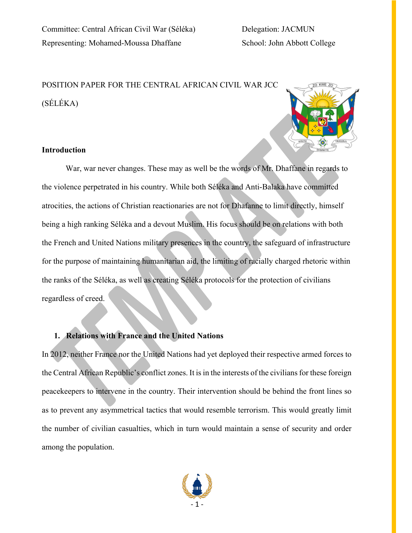# POSITION PAPER FOR THE CENTRAL AFRICAN CIVIL WAR JCC (SÉLÉKA)



## **Introduction**

War, war never changes. These may as well be the words of Mr. Dhaffane in regards to the violence perpetrated in his country. While both Séléka and Anti-Balaka have committed atrocities, the actions of Christian reactionaries are not for Dhafanne to limit directly, himself being a high ranking Séléka and a devout Muslim. His focus should be on relations with both the French and United Nations military presences in the country, the safeguard of infrastructure for the purpose of maintaining humanitarian aid, the limiting of racially charged rhetoric within the ranks of the Séléka, as well as creating Séléka protocols for the protection of civilians regardless of creed.

## **1. Relations with France and the United Nations**

In 2012, neither France nor the United Nations had yet deployed their respective armed forces to the Central African Republic's conflict zones. It is in the interests of the civilians for these foreign peacekeepers to intervene in the country. Their intervention should be behind the front lines so as to prevent any asymmetrical tactics that would resemble terrorism. This would greatly limit the number of civilian casualties, which in turn would maintain a sense of security and order among the population.

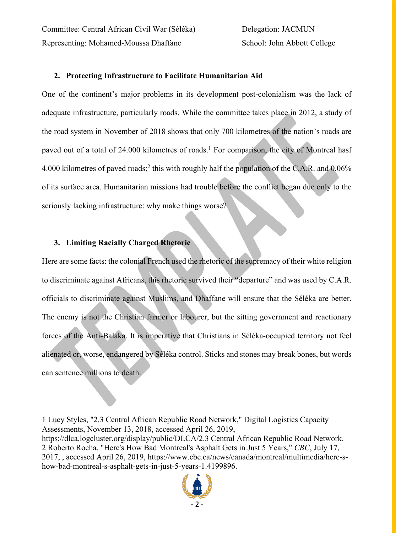Committee: Central African Civil War (Séléka) Delegation: JACMUN Representing: Mohamed-Moussa Dhaffane School: John Abbott College

### **2. Protecting Infrastructure to Facilitate Humanitarian Aid**

One of the continent's major problems in its development post-colonialism was the lack of adequate infrastructure, particularly roads. While the committee takes place in 2012, a study of the road system in November of 2018 shows that only 700 kilometres of the nation's roads are paved out of a total of 24.000 kilometres of roads.<sup>1</sup> For comparison, the city of Montreal hasf 4.000 kilometres of paved roads;2 this with roughly half the population of the C.A.R. and 0,06% of its surface area. Humanitarian missions had trouble before the conflict began due only to the seriously lacking infrastructure: why make things worse?

#### **3. Limiting Racially Charged Rhetoric**

 $\overline{a}$ 

Here are some facts: the colonial French used the rhetoric of the supremacy of their white religion to discriminate against Africans, this rhetoric survived their "departure" and was used by C.A.R. officials to discriminate against Muslims, and Dhaffane will ensure that the Séléka are better. The enemy is not the Christian farmer or labourer, but the sitting government and reactionary forces of the Anti-Balaka. It is imperative that Christians in Séléka-occupied territory not feel alienated or, worse, endangered by Séléka control. Sticks and stones may break bones, but words can sentence millions to death.

https://dlca.logcluster.org/display/public/DLCA/2.3 Central African Republic Road Network. 2 Roberto Rocha, "Here's How Bad Montreal's Asphalt Gets in Just 5 Years," *CBC*, July 17, 2017, , accessed April 26, 2019, https://www.cbc.ca/news/canada/montreal/multimedia/here-show-bad-montreal-s-asphalt-gets-in-just-5-years-1.4199896.



<sup>1</sup> Lucy Styles, "2.3 Central African Republic Road Network," Digital Logistics Capacity Assessments, November 13, 2018, accessed April 26, 2019,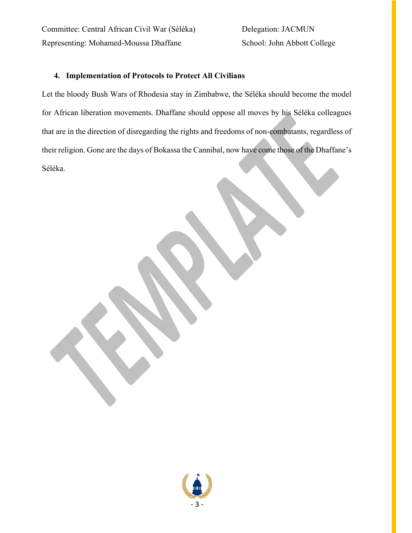Committee: Central African Civil War (Séléka) Delegation: JACMUN Representing: Mohamed-Moussa Dhaffane School: John Abbott College

### **4. Implementation of Protocols to Protect All Civilians**

Let the bloody Bush Wars of Rhodesia stay in Zimbabwe, the Séléka should become the model for African liberation movements. Dhaffane should oppose all moves by his Séléka colleagues that are in the direction of disregarding the rights and freedoms of non-combatants, regardless of their religion. Gone are the days of Bokassa the Cannibal, now have come those of the Dhaffane's Séléka.